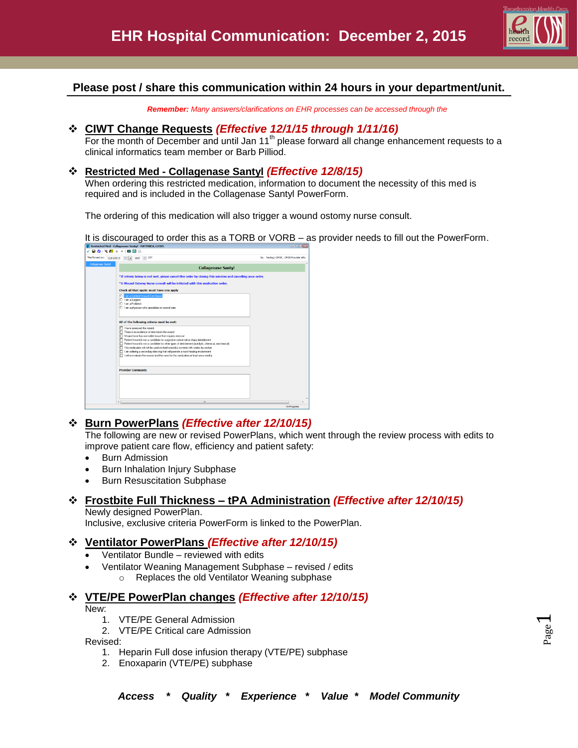

# **Please post / share this communication within 24 hours in your department/unit.**

*Remember: Many answers/clarifications on EHR processes can be accessed through the* 

## **CIWT Change Requests** *(Effective 12/1/15 through 1/11/16)*

For the month of December and until Jan 11<sup>th</sup> please forward all change enhancement requests to a clinical informatics team member or Barb Pilliod.

#### **Restricted Med - Collagenase Santyl** *(Effective 12/8/15)*

When ordering this restricted medication, information to document the necessity of this med is required and is included in the Collagenase Santyl PowerForm.

The ordering of this medication will also trigger a wound ostomy nurse consult.

It is discouraged to order this as a TORB or VORB – as provider needs to fill out the PowerForm.<br>  $\sqrt{n}$ 



# **Burn PowerPlans** *(Effective after 12/10/15)*

The following are new or revised PowerPlans, which went through the review process with edits to improve patient care flow, efficiency and patient safety:

- **•** Burn Admission
- Burn Inhalation Injury Subphase
- Burn Resuscitation Subphase

## **Frostbite Full Thickness – tPA Administration** *(Effective after 12/10/15)*

Newly designed PowerPlan. Inclusive, exclusive criteria PowerForm is linked to the PowerPlan.

## **Ventilator PowerPlans** *(Effective after 12/10/15)*

- Ventilator Bundle reviewed with edits
- Ventilator Weaning Management Subphase revised / edits
	- o Replaces the old Ventilator Weaning subphase

## **VTE/PE PowerPlan changes** *(Effective after 12/10/15)*

New:

- 1. VTE/PE General Admission
- 2. VTE/PE Critical care Admission

Revised:

- 1. Heparin Full dose infusion therapy (VTE/PE) subphase
- 2. Enoxaparin (VTE/PE) subphase